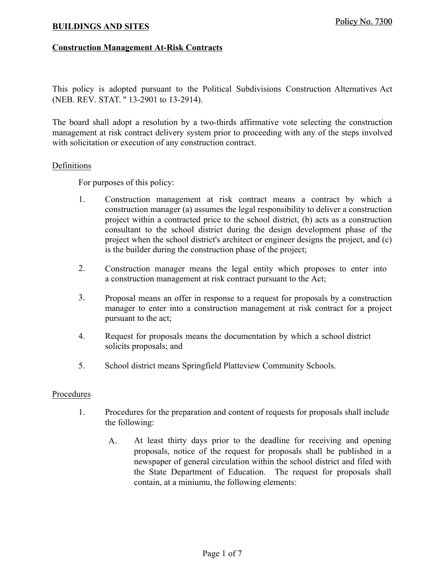## **Construction Management At-Risk Contracts**

This policy is adopted pursuant to the Political Subdivisions Construction Alternatives Act (NEB. REV. STAT. '' 13-2901 to 13-2914).

The board shall adopt a resolution by a two-thirds affirmative vote selecting the construction management at risk contract delivery system prior to proceeding with any of the steps involved with solicitation or execution of any construction contract.

## Definitions

For purposes of this policy:

- 1. Construction management at risk contract means a contract by which a construction manager (a) assumes the legal responsibility to deliver a construction project within a contracted price to the school district, (b) acts as a construction consultant to the school district during the design development phase of the project when the school district's architect or engineer designs the project, and (c) is the builder during the construction phase of the project; **BUILDINGS AND SITES**<br> **Construction Management At-Risk Contracts**<br>
This policy is adopted pursuant to the Political S<br>
(NEB. REV. STAT. "13-2901 to 13-2914).<br>
The board shall adopt a resolution by a two-thirds amangement
	- 2. Construction manager means the legal entity which proposes to enter into a construction management at risk contract pursuant to the Act;
	- 3. Proposal means an offer in response to a request for proposals by a construction manager to enter into a construction management at risk contract for a project pursuant to the act;
	- 4. Request for proposals means the documentation by which a school district solicits proposals; and
	- 5. School district means Springfield Platteview Community Schools.

## Procedures

- 1. Procedures for the preparation and content of requests for proposals shall include the following:
	- At least thirty days prior to the deadline for receiving and opening proposals, notice of the request for proposals shall be published in a newspaper of general circulation within the school district and filed with the State Department of Education. The request for proposals shall contain, at a miniumu, the following elements: A.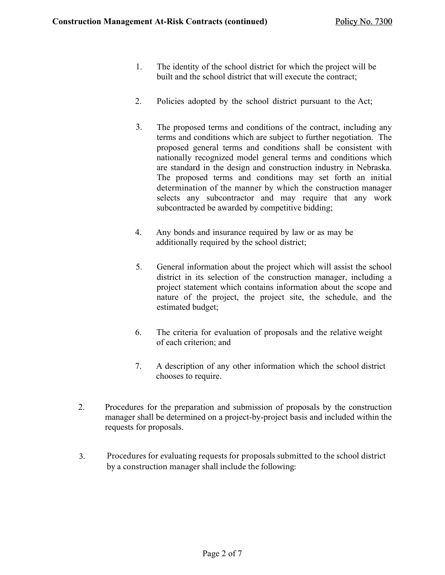- 1. The identity of the school district for which the project will be built and the school district that will execute the contract;
- 2. Policies adopted by the school district pursuant to the Act;
- 3. The proposed terms and conditions of the contract, including any terms and conditions which are subject to further negotiation. The proposed general terms and conditions shall be consistent with nationally recognized model general terms and conditions which are standard in the design and construction industry in Nebraska. The proposed terms and conditions may set forth an initial determination of the manner by which the construction manager selects any subcontractor and may require that any work subcontracted be awarded by competitive bidding;
- 4. Any bonds and insurance required by law or as may be additionally required by the school district;
- 5. General information about the project which will assist the school district in its selection of the construction manager, including a project statement which contains information about the scope and nature of the project, the project site, the schedule, and the estimated budget;
- 6. The criteria for evaluation of proposals and the relative weight of each criterion; and
- 7. A description of any other information which the school district chooses to require.
- 2. Procedures for the preparation and submission of proposals by the construction manager shall be determined on a project-by-project basis and included within the requests for proposals.
- 3. Procedures for evaluating requests for proposals submitted to the school district by a construction manager shall include the following: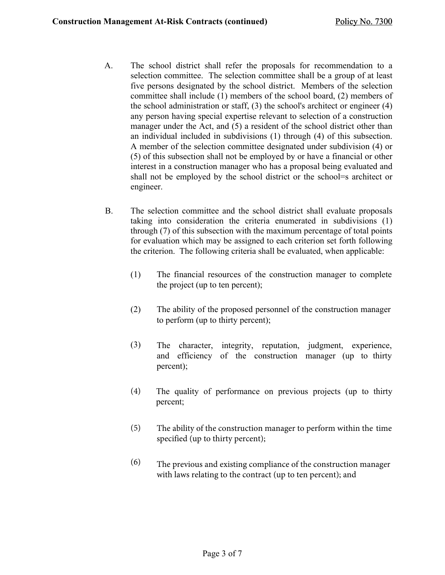- A. The school district shall refer the proposals for recommendation to a selection committee. The selection committee shall be a group of at least five persons designated by the school district. Members of the selection committee shall include (1) members of the school board, (2) members of the school administration or staff, (3) the school's architect or engineer (4) any person having special expertise relevant to selection of a construction manager under the Act, and (5) a resident of the school district other than an individual included in subdivisions (1) through (4) of this subsection. A member of the selection committee designated under subdivision (4) or (5) of this subsection shall not be employed by or have a financial or other interest in a construction manager who has a proposal being evaluated and shall not be employed by the school district or the school=s architect or engineer.
- B. The selection committee and the school district shall evaluate proposals taking into consideration the criteria enumerated in subdivisions (1) through (7) of this subsection with the maximum percentage of total points for evaluation which may be assigned to each criterion set forth following the criterion. The following criteria shall be evaluated, when applicable:
	- (1) The financial resources of the construction manager to complete the project (up to ten percent);
	- (2) The ability of the proposed personnel of the construction manager to perform (up to thirty percent);
	- (3) The character, integrity, reputation, judgment, experience, and efficiency of the construction manager (up to thirty percent);
	- The quality of performance on previous projects (up to thirty percent; (4)
	- The ability of the construction manager to perform within the time specified (up to thirty percent); (5)
	- (6) The previous and existing compliance of the construction manager with laws relating to the contract (up to ten percent); and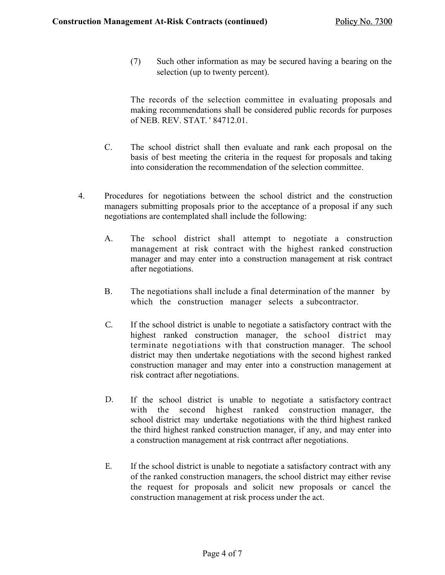(7) Such other information as may be secured having a bearing on the selection (up to twenty percent).

The records of the selection committee in evaluating proposals and making recommendations shall be considered public records for purposes of NEB. REV. STAT. ' 84712.01.

- C. The school district shall then evaluate and rank each proposal on the basis of best meeting the criteria in the request for proposals and taking into consideration the recommendation of the selection committee.
- 4. Procedures for negotiations between the school district and the construction managers submitting proposals prior to the acceptance of a proposal if any such negotiations are contemplated shall include the following:
	- A. The school district shall attempt to negotiate a construction management at risk contract with the highest ranked construction manager and may enter into a construction management at risk contract after negotiations.
	- B. The negotiations shall include a final determination of the manner by which the construction manager selects a subcontractor.
	- If the school district is unable to negotiate a satisfactory contract with the highest ranked construction manager, the school district may terminate negotiations with that construction manager. The school district may then undertake negotiations with the second highest ranked construction manager and may enter into a construction management at risk contract after negotiations. C.
	- If the school district is unable to negotiate a satisfactory contract with the second highest ranked construction manager, the school district may undertake negotiations with the third highest ranked the third highest ranked construction manager, if any, and may enter into a construction management at risk contrract after negotiations. D.
	- E. If the school district is unable to negotiate a satisfactory contract with any of the ranked construction managers, the school district may either revise the request for proposals and solicit new proposals or cancel the construction management at risk process under the act.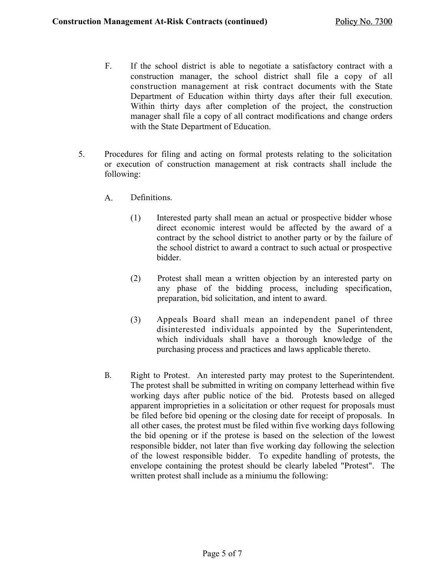- F. If the school district is able to negotiate a satisfactory contract with a construction manager, the school district shall file a copy of all construction management at risk contract documents with the State Department of Education within thirty days after their full execution. Within thirty days after completion of the project, the construction manager shall file a copy of all contract modifications and change orders with the State Department of Education.
- 5. Procedures for filing and acting on formal protests relating to the solicitation or execution of construction management at risk contracts shall include the following:
	- A. Definitions.
		- (1) Interested party shall mean an actual or prospective bidder whose direct economic interest would be affected by the award of a contract by the school district to another party or by the failure of the school district to award a contract to such actual or prospective bidder.
		- (2) Protest shall mean a written objection by an interested party on any phase of the bidding process, including specification, preparation, bid solicitation, and intent to award.
		- (3) Appeals Board shall mean an independent panel of three disinterested individuals appointed by the Superintendent, which individuals shall have a thorough knowledge of the purchasing process and practices and laws applicable thereto.
	- Right to Protest. An interested party may protest to the Superintendent. The protest shall be submitted in writing on company letterhead within five working days after public notice of the bid. Protests based on alleged apparent improprieties in a solicitation or other request for proposals must be filed before bid opening or the closing date for receipt of proposals. In all other cases, the protest must be filed within five working days following the bid opening or if the protese is based on the selection of the lowest responsible bidder, not later than five working day following the selection of the lowest responsible bidder. To expedite handling of protests, the envelope containing the protest should be clearly labeled "Protest". The written protest shall include as a miniumu the following: B.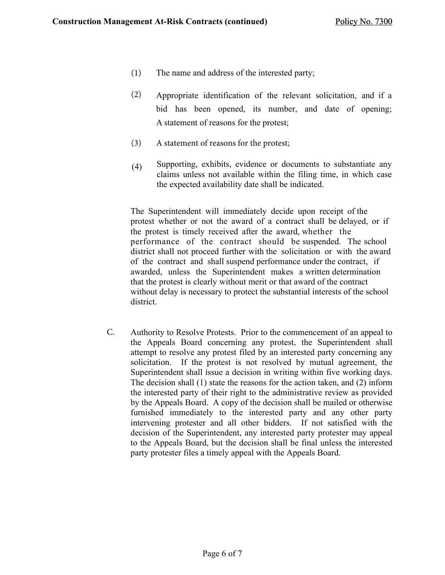- The name and address of the interested party; (1)
- Appropriate identification of the relevant solicitation, and if a bid has been opened, its number, and date of opening; A statement of reasons for the protest; (2)
- (3) A statement of reasons for the protest;
- (4) Supporting, exhibits, evidence or documents to substantiate any claims unless not available within the filing time, in which case the expected availability date shall be indicated.

The Superintendent will immediately decide upon receipt of the protest whether or not the award of a contract shall be delayed, or if the protest is timely received after the award, whether the performance of the contract should be suspended. The school district shall not proceed further with the solicitation or with the award of the contract and shall suspend performance under the contract, if awarded, unless the Superintendent makes a written determination that the protest is clearly without merit or that award of the contract without delay is necessary to protect the substantial interests of the school district.

Authority to Resolve Protests. Prior to the commencement of an appeal to the Appeals Board concerning any protest, the Superintendent shall attempt to resolve any protest filed by an interested party concerning any solicitation. If the protest is not resolved by mutual agreement, the Superintendent shall issue a decision in writing within five working days. The decision shall (1) state the reasons for the action taken, and (2) inform the interested party of their right to the administrative review as provided by the Appeals Board. A copy of the decision shall be mailed or otherwise furnished immediately to the interested party and any other party intervening protester and all other bidders. If not satisfied with the decision of the Superintendent, any interested party protester may appeal to the Appeals Board, but the decision shall be final unless the interested party protester files a timely appeal with the Appeals Board. C.